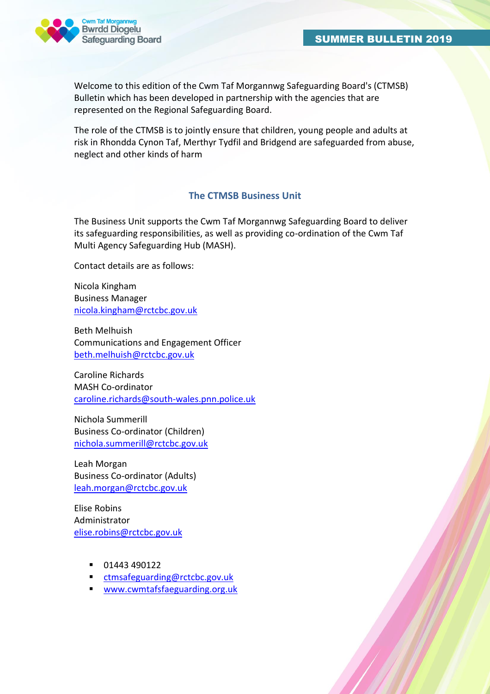

Welcome to this edition of the Cwm Taf Morgannwg Safeguarding Board's (CTMSB) Bulletin which has been developed in partnership with the agencies that are represented on the Regional Safeguarding Board.

The role of the CTMSB is to jointly ensure that children, young people and adults at risk in Rhondda Cynon Taf, Merthyr Tydfil and Bridgend are safeguarded from abuse, neglect and other kinds of harm

### **The CTMSB Business Unit**

The Business Unit supports the Cwm Taf Morgannwg Safeguarding Board to deliver its safeguarding responsibilities, as well as providing co-ordination of the Cwm Taf Multi Agency Safeguarding Hub (MASH).

Contact details are as follows:

Nicola Kingham Business Manager [nicola.kingham@rctcbc.gov.uk](mailto:nicola.kingham@rctcbc.gov.uk)

Beth Melhuish Communications and Engagement Officer [beth.melhuish@rctcbc.gov.uk](mailto:beth.melhuish@rctcbc.gov.uk)

Caroline Richards MASH Co-ordinator [caroline.richards@south-wales.pnn.police.uk](mailto:caroline.richards@south-wales.pnn.police.uk)

Nichola Summerill Business Co-ordinator (Children) [nichola.summerill@rctcbc.gov.uk](mailto:nichola.summerill@rctcbc.gov.uk)

Leah Morgan Business Co-ordinator (Adults) [leah.morgan@rctcbc.gov.uk](mailto:leah.morgan@rctcbc.gov.uk)

Elise Robins Administrator [elise.robins@rctcbc.gov.uk](mailto:elise.robins@rctcbc.gov.uk)

- $-01443490122$
- [ctmsafeguarding@rctcbc.gov.uk](mailto:ctmsafeguarding@rctcbc.gov.uk)
- [www.cwmtafsfaeguarding.org.uk](http://www.cwmtafsfaeguarding.org.uk/)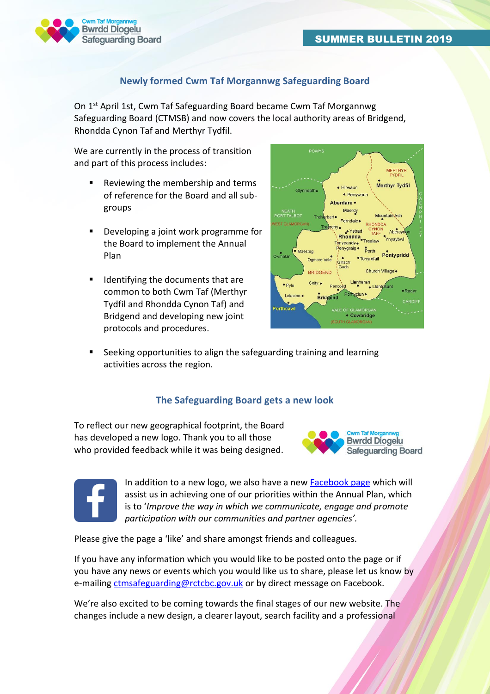

## **Newly formed Cwm Taf Morgannwg Safeguarding Board**

On 1<sup>st</sup> April 1st, Cwm Taf Safeguarding Board became Cwm Taf Morgannwg Safeguarding Board (CTMSB) and now covers the local authority areas of Bridgend, Rhondda Cynon Taf and Merthyr Tydfil.

We are currently in the process of transition and part of this process includes:

- Reviewing the membership and terms of reference for the Board and all subgroups
- Developing a joint work programme for the Board to implement the Annual Plan
- Identifying the documents that are common to both Cwm Taf (Merthyr Tydfil and Rhondda Cynon Taf) and Bridgend and developing new joint protocols and procedures.



 Seeking opportunities to align the safeguarding training and learning activities across the region.

### **The Safeguarding Board gets a new look**

To reflect our new geographical footprint, the Board has developed a new logo. Thank you to all those who provided feedback while it was being designed.





In addition to a new logo, we also have a new [Facebook page](https://www.facebook.com/Cwm-Taf-Morgannwg-Safeguarding-Board-Bwrdd-Diogelu-Cwm-Taf-Morgannwg-384105005644621/) which will assist us in achieving one of our priorities within the Annual Plan, which is to '*Improve the way in which we communicate, engage and promote participation with our communities and partner agencies'.*

Please give the page a 'like' and share amongst friends and colleagues.

If you have any information which you would like to be posted onto the page or if you have any news or events which you would like us to share, please let us know by e-mailing [ctmsafeguarding@rctcbc.gov.uk](mailto:ctmsafeguarding@rctcbc.gov.uk) or by direct message on Facebook.

We're also excited to be coming towards the final stages of our new website. The changes include a new design, a clearer layout, search facility and a professional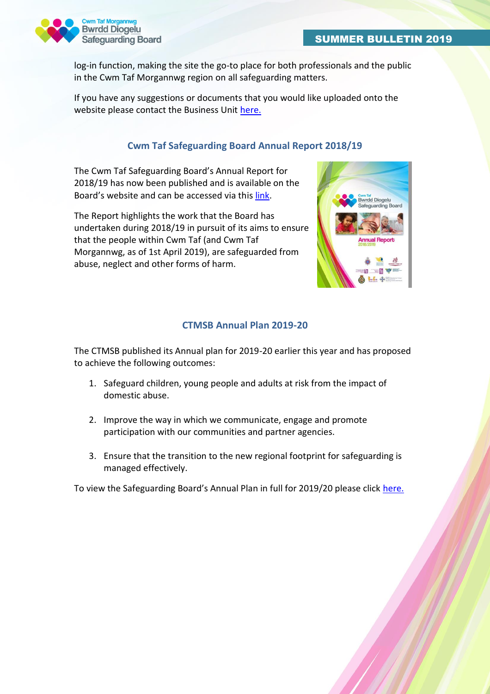

log-in function, making the site the go-to place for both professionals and the public in the Cwm Taf Morgannwg region on all safeguarding matters.

If you have any suggestions or documents that you would like uploaded onto the website please contact the Business Unit [here.](mailto:ctmsafeguarding@rctcbc.gov.uk)

### **Cwm Taf Safeguarding Board Annual Report 2018/19**

The Cwm Taf Safeguarding Board's Annual Report for 2018/19 has now been published and is available on the Board's website and can be accessed via this [link.](http://www.cwmtafsafeguarding.org/media/1850/o-reviewing-team-ctm-safeguarding-board-joint-annual-report-2018-19-final-version-cwm-taf-safeguarding-annual-report-2018-2019-final.pdf)

The Report highlights the work that the Board has undertaken during 2018/19 in pursuit of its aims to ensure that the people within Cwm Taf (and Cwm Taf Morgannwg, as of 1st April 2019), are safeguarded from abuse, neglect and other forms of harm.



### **CTMSB Annual Plan 2019-20**

The CTMSB published its Annual plan for 2019-20 earlier this year and has proposed to achieve the following outcomes:

- 1. Safeguard children, young people and adults at risk from the impact of domestic abuse.
- 2. Improve the way in which we communicate, engage and promote participation with our communities and partner agencies.
- 3. Ensure that the transition to the new regional footprint for safeguarding is managed effectively.

To view the Safeguarding Board's Annual Plan in full for 2019/20 please click [here.](http://www.cwmtafsafeguarding.org/about-us/annual-plans/)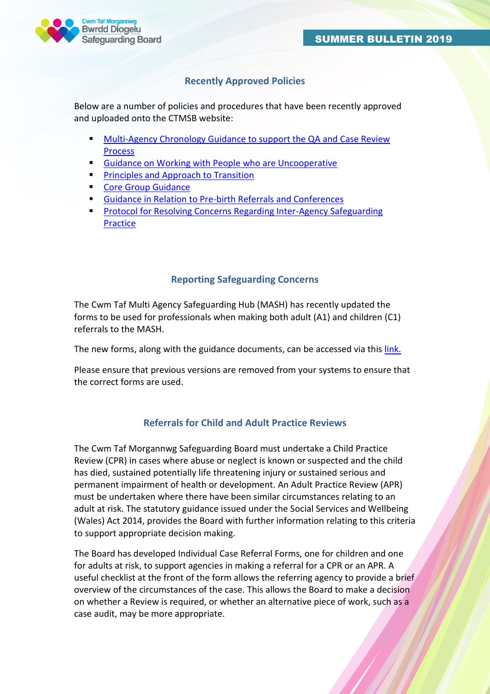

## **Recently Approved Policies**

Below are a number of policies and procedures that have been recently approved and uploaded onto the CTMSB website:

- [Multi-Agency Chronology Guidance to support the QA and Case Review](http://www.cwmtafsafeguarding.org/media/1845/j11-chronology-guidance-approved-june-2019.pdf)  [Process](http://www.cwmtafsafeguarding.org/media/1845/j11-chronology-guidance-approved-june-2019.pdf)
- **[Guidance on Working with People who are Uncooperative](http://www.cwmtafsafeguarding.org/media/1844/j10-ctmsb-guidance-on-working-with-people-who-are-uncooperative-approved-june-2019.pdf)**
- [Principles and Approach to Transition](http://www.cwmtafsafeguarding.org/media/1861/j17-principles-and-approach-to-transition-approved-december-2018.pdf)
- [Core Group Guidance](http://www.cwmtafsafeguarding.org/media/1815/c24-core-group-guidance-approved-december-18.pdf)
- [Guidance in Relation to Pre-birth Referrals and Conferences](http://www.cwmtafsafeguarding.org/media/1817/c12-guidance-in-relation-to-prebirth-referrals-and-conferences-approved-december-2018.pdf)
- [Protocol for Resolving Concerns Regarding Inter-Agency Safeguarding](http://www.cwmtafsafeguarding.org/media/1813/j4-protocol-for-resolving-concerns-regarding-inter-agency-safeguarding-practice-approved-december-2018.pdf)  [Practice](http://www.cwmtafsafeguarding.org/media/1813/j4-protocol-for-resolving-concerns-regarding-inter-agency-safeguarding-practice-approved-december-2018.pdf)

#### **Reporting Safeguarding Concerns**

The Cwm Taf Multi Agency Safeguarding Hub (MASH) has recently updated the forms to be used for professionals when making both adult (A1) and children (C1) referrals to the MASH.

The new forms, along with the guidance documents, can be accessed via thi[s link.](http://www.cwmtafsafeguarding.org/professionals/multi-agency-safeguarding-hub/)

Please ensure that previous versions are removed from your systems to ensure that the correct forms are used.

### **Referrals for Child and Adult Practice Reviews**

The Cwm Taf Morgannwg Safeguarding Board must undertake a Child Practice Review (CPR) in cases where abuse or neglect is known or suspected and the child has died, sustained potentially life threatening injury or sustained serious and permanent impairment of health or development. An Adult Practice Review (APR) must be undertaken where there have been similar circumstances relating to an adult at risk. The statutory guidance issued under the Social Services and Wellbeing (Wales) Act 2014, provides the Board with further information relating to this criteria to support appropriate decision making.

The Board has developed Individual Case Referral Forms, one for children and one for adults at risk, to support agencies in making a referral for a CPR or an APR. A useful checklist at the front of the form allows the referring agency to provide a brief overview of the circumstances of the case. This allows the Board to make a decision on whether a Review is required, or whether an alternative piece of work, such as a case audit, may be more appropriate.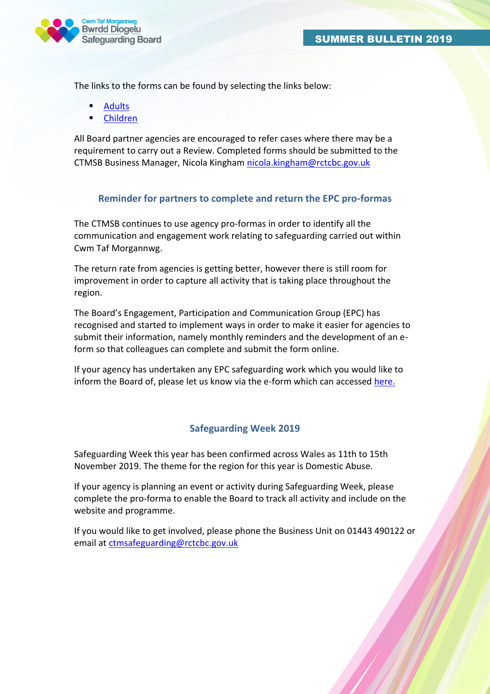

The links to the forms can be found by selecting the links below:

- [Adults](http://www.cwmtafsafeguarding.org/professionals/adult-policies-and-procedures/)
- [Children](http://www.cwmtafsafeguarding.org/professionals/child-policies-and-procedures/)

All Board partner agencies are encouraged to refer cases where there may be a requirement to carry out a Review. Completed forms should be submitted to the CTMSB Business Manager, Nicola Kingham [nicola.kingham@rctcbc.gov.uk](mailto:nicola.kingham@rctcbc.gov.uk)

### **Reminder for partners to complete and return the EPC pro-formas**

The CTMSB continues to use agency pro-formas in order to identify all the communication and engagement work relating to safeguarding carried out within Cwm Taf Morgannwg.

The return rate from agencies is getting better, however there is still room for improvement in order to capture all activity that is taking place throughout the region.

The Board's Engagement, Participation and Communication Group (EPC) has recognised and started to implement ways in order to make it easier for agencies to submit their information, namely monthly reminders and the development of an eform so that colleagues can complete and submit the form online.

If your agency has undertaken any EPC safeguarding work which you would like to inform the Board of, please let us know via the e-form which can accessed [here.](https://www.snapsurveys.com/wh/s.asp?k=156397333439) 

### **Safeguarding Week 2019**

Safeguarding Week this year has been confirmed across Wales as 11th to 15th November 2019. The theme for the region for this year is Domestic Abuse.

If your agency is planning an event or activity during Safeguarding Week, please complete the pro-forma to enable the Board to track all activity and include on the website and programme.

If you would like to get involved, please phone the Business Unit on 01443 490122 or email at [ctmsafeguarding@rctcbc.gov.uk](mailto:ctmsafeguarding@rctcbc.gov.uk)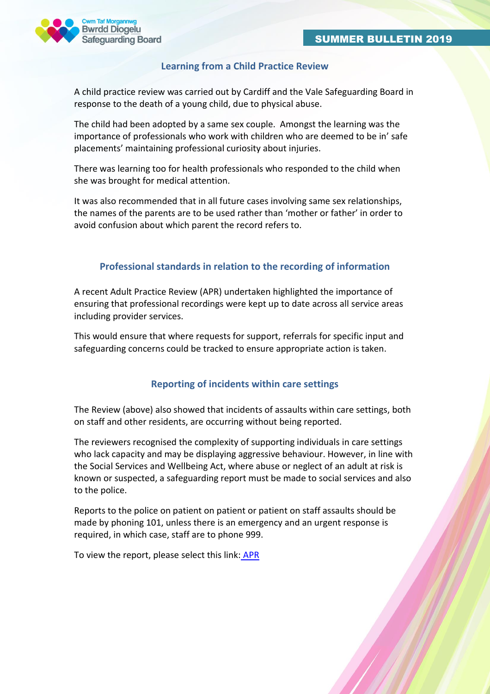

#### **Learning from a Child Practice Review**

A child practice review was carried out by Cardiff and the Vale Safeguarding Board in response to the death of a young child, due to physical abuse.

The child had been adopted by a same sex couple. Amongst the learning was the importance of professionals who work with children who are deemed to be in' safe placements' maintaining professional curiosity about injuries.

There was learning too for health professionals who responded to the child when she was brought for medical attention.

It was also recommended that in all future cases involving same sex relationships, the names of the parents are to be used rather than 'mother or father' in order to avoid confusion about which parent the record refers to.

#### **Professional standards in relation to the recording of information**

A recent Adult Practice Review (APR) undertaken highlighted the importance of ensuring that professional recordings were kept up to date across all service areas including provider services.

This would ensure that where requests for support, referrals for specific input and safeguarding concerns could be tracked to ensure appropriate action is taken.

#### **Reporting of incidents within care settings**

The Review (above) also showed that incidents of assaults within care settings, both on staff and other residents, are occurring without being reported.

The reviewers recognised the complexity of supporting individuals in care settings who lack capacity and may be displaying aggressive behaviour. However, in line with the Social Services and Wellbeing Act, where abuse or neglect of an adult at risk is known or suspected, a safeguarding report must be made to social services and also to the police.

Reports to the police on patient on patient or patient on staff assaults should be made by phoning 101, unless there is an emergency and an urgent response is required, in which case, staff are to phone 999.

To view the report, please select this link: [APR](http://www.cwmtafsafeguarding.org/media/1805/apr-report-ctsb1-2018.pdf)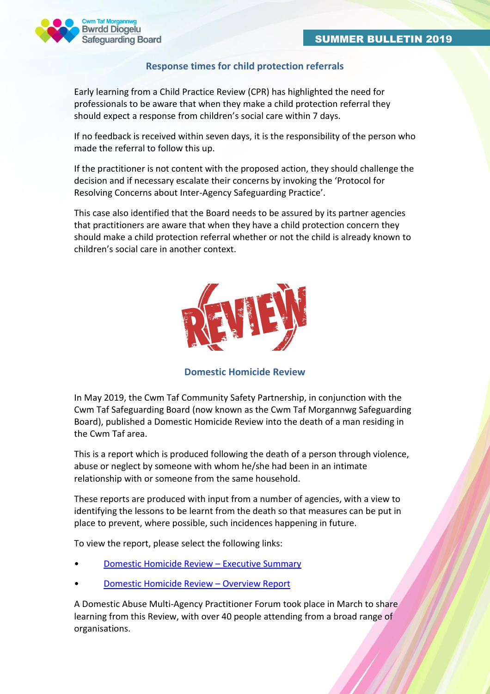

### **Response times for child protection referrals**

Early learning from a Child Practice Review (CPR) has highlighted the need for professionals to be aware that when they make a child protection referral they should expect a response from children's social care within 7 days.

If no feedback is received within seven days, it is the responsibility of the person who made the referral to follow this up.

If the practitioner is not content with the proposed action, they should challenge the decision and if necessary escalate their concerns by invoking the 'Protocol for Resolving Concerns about Inter-Agency Safeguarding Practice'.

This case also identified that the Board needs to be assured by its partner agencies that practitioners are aware that when they have a child protection concern they should make a child protection referral whether or not the child is already known to children's social care in another context.



**Domestic Homicide Review**

In May 2019, the Cwm Taf Community Safety Partnership, in conjunction with the Cwm Taf Safeguarding Board (now known as the Cwm Taf Morgannwg Safeguarding Board), published a Domestic Homicide Review into the death of a man residing in the Cwm Taf area.

This is a report which is produced following the death of a person through violence, abuse or neglect by someone with whom he/she had been in an intimate relationship with or someone from the same household.

These reports are produced with input from a number of agencies, with a view to identifying the lessons to be learnt from the death so that measures can be put in place to prevent, where possible, such incidences happening in future.

To view the report, please select the following links:

- [Domestic Homicide Review](http://www.cwmtafsafeguarding.org/media/1841/dhr-executive-summary-final-for-publication-29052019.pdf)  Executive Summary
- [Domestic Homicide Review](http://www.cwmtafsafeguarding.org/media/1842/dhr-overview-report-final-for-publication-29052019.pdf)  Overview Report

A Domestic Abuse Multi-Agency Practitioner Forum took place in March to share learning from this Review, with over 40 people attending from a broad range of organisations.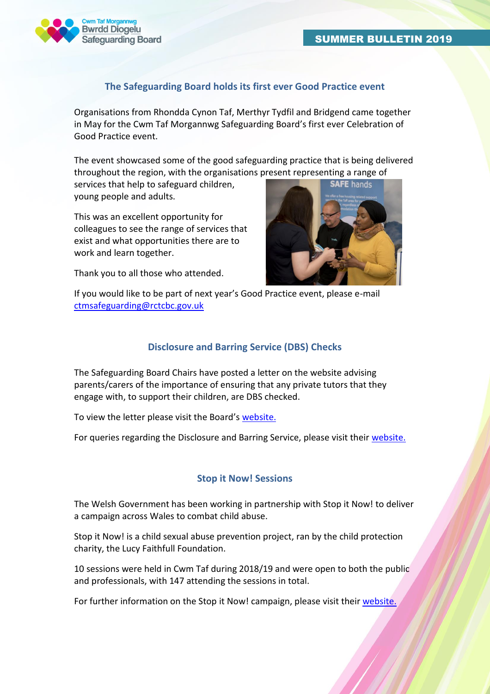

### **The Safeguarding Board holds its first ever Good Practice event**

Organisations from Rhondda Cynon Taf, Merthyr Tydfil and Bridgend came together in May for the Cwm Taf Morgannwg Safeguarding Board's first ever Celebration of Good Practice event.

The event showcased some of the good safeguarding practice that is being delivered throughout the region, with the organisations present representing a range of

services that help to safeguard children, young people and adults.

This was an excellent opportunity for colleagues to see the range of services that exist and what opportunities there are to work and learn together.

Thank you to all those who attended.



If you would like to be part of next year's Good Practice event, please e-mail [ctmsafeguarding@rctcbc.gov.uk](mailto:ctmsafeguarding@rctcbc.gov.uk)

### **Disclosure and Barring Service (DBS) Checks**

The Safeguarding Board Chairs have posted a letter on the website advising parents/carers of the importance of ensuring that any private tutors that they engage with, to support their children, are DBS checked.

To view the letter please visit the Board's [website.](http://www.cwmtafsafeguarding.org/parents-and-carers/information-and-advice-resources/)

For queries regarding the Disclosure and Barring Service, please visit their [website.](https://www.gov.uk/government/organisations/disclosure-and-barring-service)

### **Stop it Now! Sessions**

The Welsh Government has been working in partnership with Stop it Now! to deliver a campaign across Wales to combat child abuse.

Stop it Now! is a child sexual abuse prevention project, ran by the child protection charity, the Lucy Faithfull Foundation.

10 sessions were held in Cwm Taf during 2018/19 and were open to both the public and professionals, with 147 attending the sessions in total.

For further information on the Stop it Now! campaign, please visit their [website.](https://www.stopitnow.org.uk/wales.htm)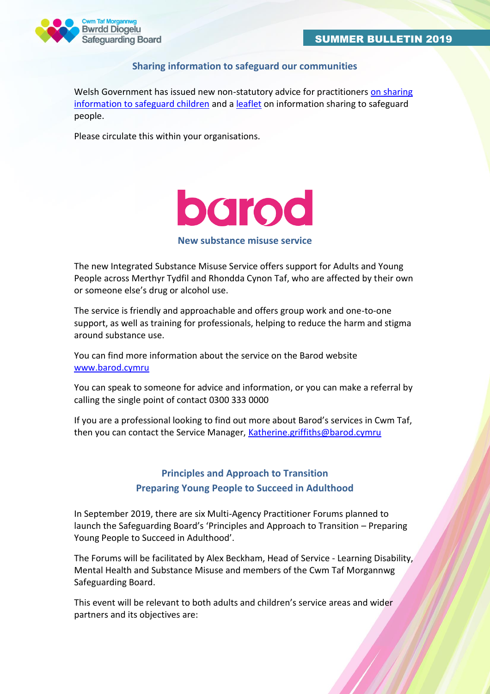

### **Sharing information to safeguard our communities**

Welsh Government has issued new non-statutory advice for practitioners on sharing [information to safeguard children](https://gov.wales/information-sharing-safeguard-children-guidance) and [a leaflet](https://gov.wales/information-sharing-safeguard-children-and-adults-leaflet) on information sharing to safeguard people.

Please circulate this within your organisations.



#### **New substance misuse service**

The new Integrated Substance Misuse Service offers support for Adults and Young People across Merthyr Tydfil and Rhondda Cynon Taf, who are affected by their own or someone else's drug or alcohol use.

The service is friendly and approachable and offers group work and one-to-one support, as well as training for professionals, helping to reduce the harm and stigma around substance use.

You can find more information about the service on the Barod website [www.barod.cymru](http://www.barod.cymru/)

You can speak to someone for advice and information, or you can make a referral by calling the single point of contact 0300 333 0000

If you are a professional looking to find out more about Barod's services in Cwm Taf, then you can contact the Service Manager, [Katherine.griffiths@barod.cymru](mailto:Katherine.griffiths@barod.cymru)

# **Principles and Approach to Transition Preparing Young People to Succeed in Adulthood**

In September 2019, there are six Multi-Agency Practitioner Forums planned to launch the Safeguarding Board's 'Principles and Approach to Transition – Preparing Young People to Succeed in Adulthood'.

The Forums will be facilitated by Alex Beckham, Head of Service - Learning Disability, Mental Health and Substance Misuse and members of the Cwm Taf Morgannwg Safeguarding Board.

This event will be relevant to both adults and children's service areas and wider partners and its objectives are: